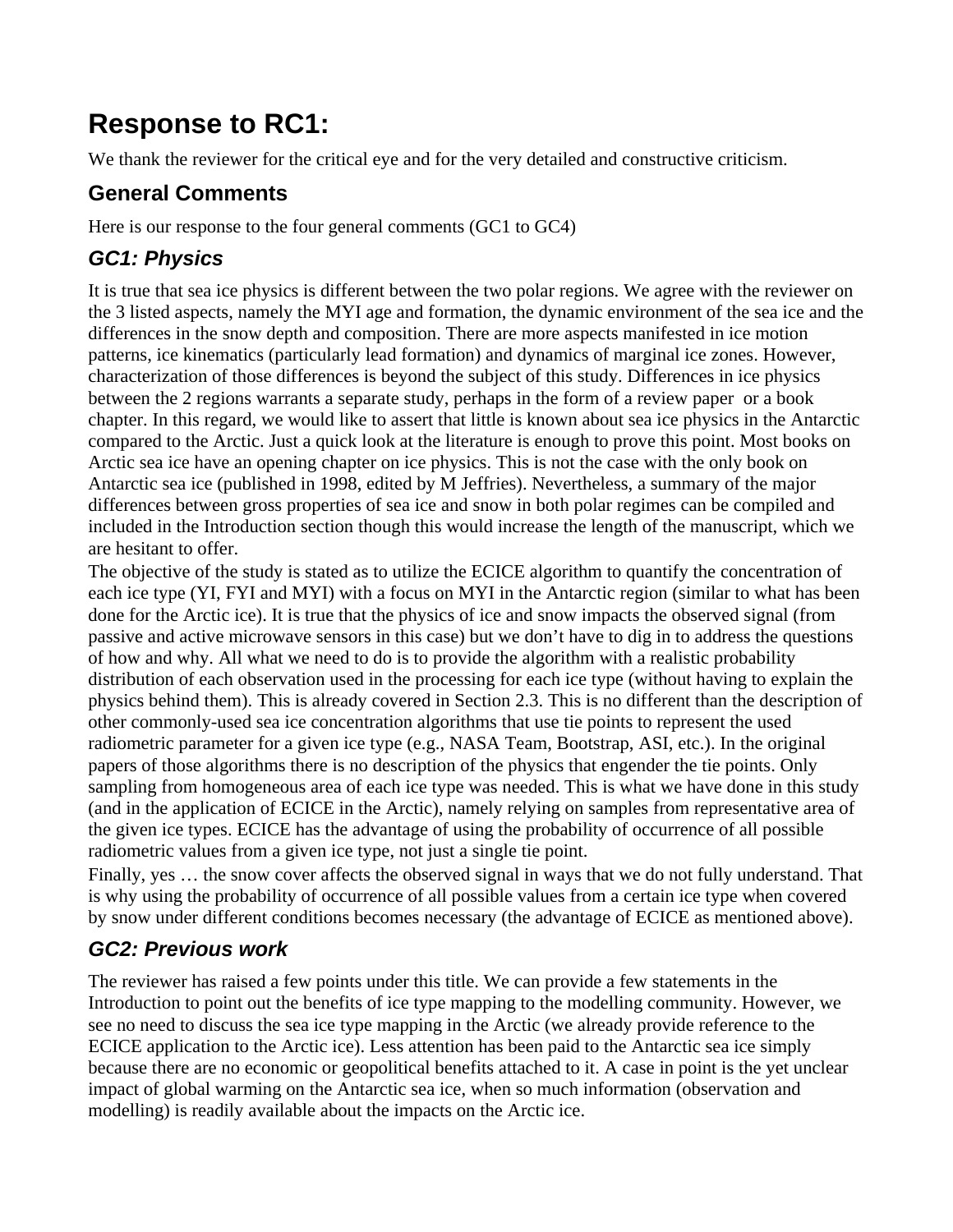# **Response to RC1:**

We thank the reviewer for the critical eye and for the very detailed and constructive criticism.

# **General Comments**

Here is our response to the four general comments (GC1 to GC4)

# *GC1: Physics*

It is true that sea ice physics is different between the two polar regions. We agree with the reviewer on the 3 listed aspects, namely the MYI age and formation, the dynamic environment of the sea ice and the differences in the snow depth and composition. There are more aspects manifested in ice motion patterns, ice kinematics (particularly lead formation) and dynamics of marginal ice zones. However, characterization of those differences is beyond the subject of this study. Differences in ice physics between the 2 regions warrants a separate study, perhaps in the form of a review paper or a book chapter. In this regard, we would like to assert that little is known about sea ice physics in the Antarctic compared to the Arctic. Just a quick look at the literature is enough to prove this point. Most books on Arctic sea ice have an opening chapter on ice physics. This is not the case with the only book on Antarctic sea ice (published in 1998, edited by M Jeffries). Nevertheless, a summary of the major differences between gross properties of sea ice and snow in both polar regimes can be compiled and included in the Introduction section though this would increase the length of the manuscript, which we are hesitant to offer.

The objective of the study is stated as to utilize the ECICE algorithm to quantify the concentration of each ice type (YI, FYI and MYI) with a focus on MYI in the Antarctic region (similar to what has been done for the Arctic ice). It is true that the physics of ice and snow impacts the observed signal (from passive and active microwave sensors in this case) but we don't have to dig in to address the questions of how and why. All what we need to do is to provide the algorithm with a realistic probability distribution of each observation used in the processing for each ice type (without having to explain the physics behind them). This is already covered in Section 2.3. This is no different than the description of other commonly-used sea ice concentration algorithms that use tie points to represent the used radiometric parameter for a given ice type (e.g., NASA Team, Bootstrap, ASI, etc.). In the original papers of those algorithms there is no description of the physics that engender the tie points. Only sampling from homogeneous area of each ice type was needed. This is what we have done in this study (and in the application of ECICE in the Arctic), namely relying on samples from representative area of the given ice types. ECICE has the advantage of using the probability of occurrence of all possible radiometric values from a given ice type, not just a single tie point.

Finally, yes … the snow cover affects the observed signal in ways that we do not fully understand. That is why using the probability of occurrence of all possible values from a certain ice type when covered by snow under different conditions becomes necessary (the advantage of ECICE as mentioned above).

# *GC2: Previous work*

The reviewer has raised a few points under this title. We can provide a few statements in the Introduction to point out the benefits of ice type mapping to the modelling community. However, we see no need to discuss the sea ice type mapping in the Arctic (we already provide reference to the ECICE application to the Arctic ice). Less attention has been paid to the Antarctic sea ice simply because there are no economic or geopolitical benefits attached to it. A case in point is the yet unclear impact of global warming on the Antarctic sea ice, when so much information (observation and modelling) is readily available about the impacts on the Arctic ice.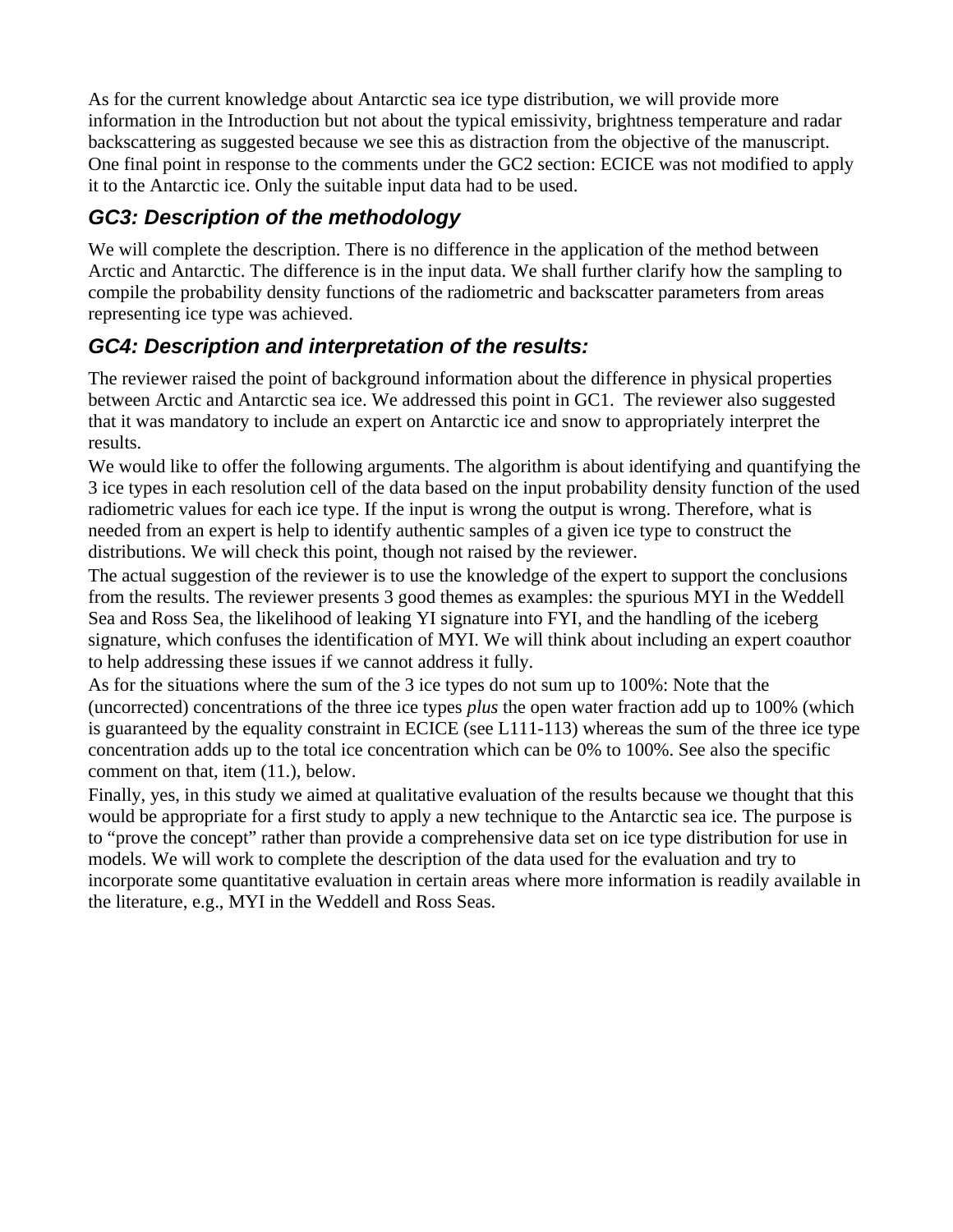As for the current knowledge about Antarctic sea ice type distribution, we will provide more information in the Introduction but not about the typical emissivity, brightness temperature and radar backscattering as suggested because we see this as distraction from the objective of the manuscript. One final point in response to the comments under the GC2 section: ECICE was not modified to apply it to the Antarctic ice. Only the suitable input data had to be used.

# *GC3: Description of the methodology*

We will complete the description. There is no difference in the application of the method between Arctic and Antarctic. The difference is in the input data. We shall further clarify how the sampling to compile the probability density functions of the radiometric and backscatter parameters from areas representing ice type was achieved.

## *GC4: Description and interpretation of the results:*

The reviewer raised the point of background information about the difference in physical properties between Arctic and Antarctic sea ice. We addressed this point in GC1. The reviewer also suggested that it was mandatory to include an expert on Antarctic ice and snow to appropriately interpret the results.

We would like to offer the following arguments. The algorithm is about identifying and quantifying the 3 ice types in each resolution cell of the data based on the input probability density function of the used radiometric values for each ice type. If the input is wrong the output is wrong. Therefore, what is needed from an expert is help to identify authentic samples of a given ice type to construct the distributions. We will check this point, though not raised by the reviewer.

The actual suggestion of the reviewer is to use the knowledge of the expert to support the conclusions from the results. The reviewer presents 3 good themes as examples: the spurious MYI in the Weddell Sea and Ross Sea, the likelihood of leaking YI signature into FYI, and the handling of the iceberg signature, which confuses the identification of MYI. We will think about including an expert coauthor to help addressing these issues if we cannot address it fully.

As for the situations where the sum of the 3 ice types do not sum up to 100%: Note that the (uncorrected) concentrations of the three ice types *plus* the open water fraction add up to 100% (which is guaranteed by the equality constraint in ECICE (see L111-113) whereas the sum of the three ice type concentration adds up to the total ice concentration which can be 0% to 100%. See also the specific comment on that, item (11.), below.

Finally, yes, in this study we aimed at qualitative evaluation of the results because we thought that this would be appropriate for a first study to apply a new technique to the Antarctic sea ice. The purpose is to "prove the concept" rather than provide a comprehensive data set on ice type distribution for use in models. We will work to complete the description of the data used for the evaluation and try to incorporate some quantitative evaluation in certain areas where more information is readily available in the literature, e.g., MYI in the Weddell and Ross Seas.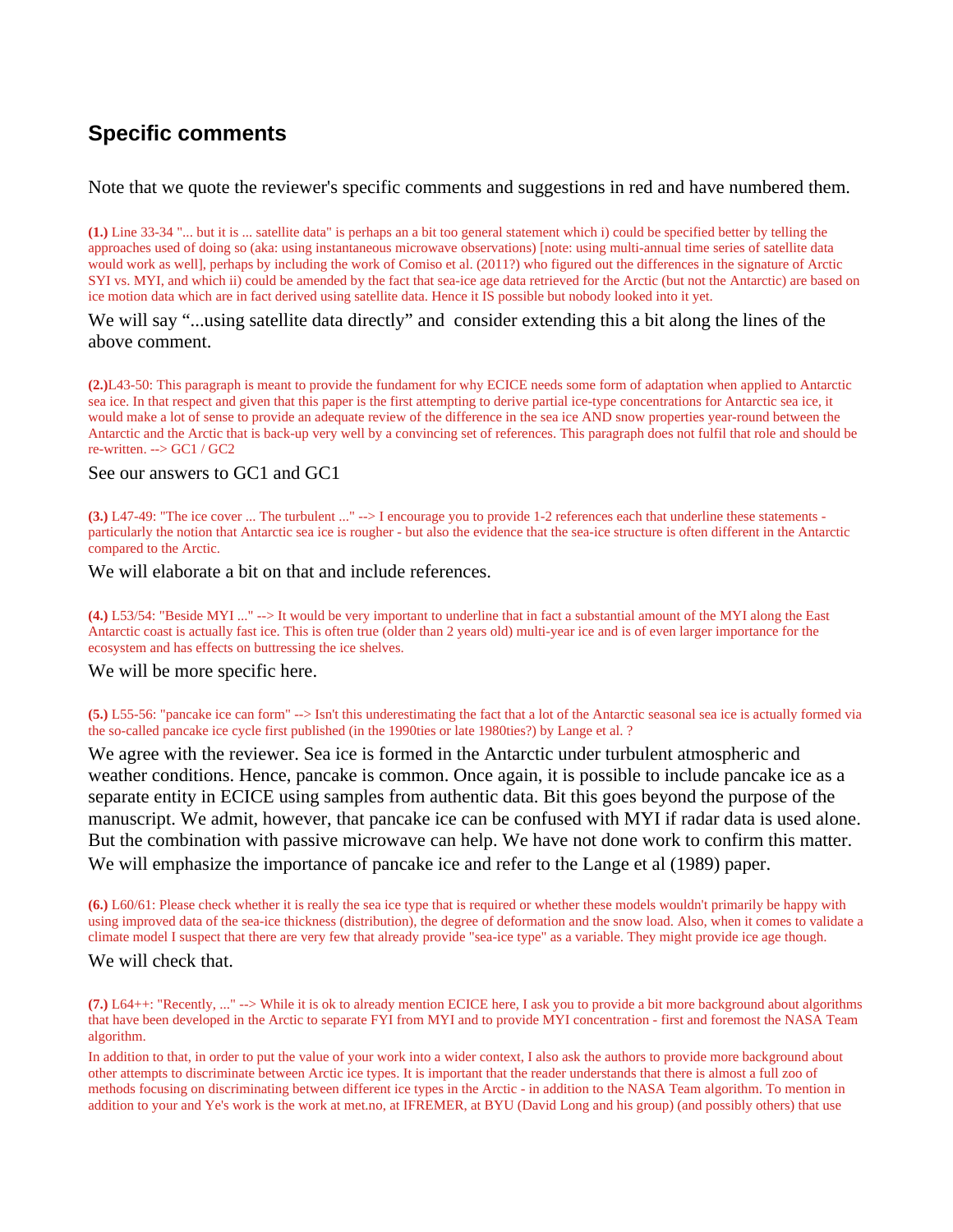# **Specific comments**

Note that we quote the reviewer's specific comments and suggestions in red and have numbered them.

**(1.)** Line 33-34 "... but it is ... satellite data" is perhaps an a bit too general statement which i) could be specified better by telling the approaches used of doing so (aka: using instantaneous microwave observations) [note: using multi-annual time series of satellite data would work as well], perhaps by including the work of Comiso et al. (2011?) who figured out the differences in the signature of Arctic SYI vs. MYI, and which ii) could be amended by the fact that sea-ice age data retrieved for the Arctic (but not the Antarctic) are based on ice motion data which are in fact derived using satellite data. Hence it IS possible but nobody looked into it yet.

### We will say "...using satellite data directly" and consider extending this a bit along the lines of the above comment.

**(2.)**L43-50: This paragraph is meant to provide the fundament for why ECICE needs some form of adaptation when applied to Antarctic sea ice. In that respect and given that this paper is the first attempting to derive partial ice-type concentrations for Antarctic sea ice, it would make a lot of sense to provide an adequate review of the difference in the sea ice AND snow properties year-round between the Antarctic and the Arctic that is back-up very well by a convincing set of references. This paragraph does not fulfil that role and should be re-written. --> GC1 / GC2

### See our answers to GC1 and GC1

**(3.)** L47-49: "The ice cover ... The turbulent ..." --> I encourage you to provide 1-2 references each that underline these statements particularly the notion that Antarctic sea ice is rougher - but also the evidence that the sea-ice structure is often different in the Antarctic compared to the Arctic.

#### We will elaborate a bit on that and include references.

**(4.)** L53/54: "Beside MYI ..." --> It would be very important to underline that in fact a substantial amount of the MYI along the East Antarctic coast is actually fast ice. This is often true (older than 2 years old) multi-year ice and is of even larger importance for the ecosystem and has effects on buttressing the ice shelves.

#### We will be more specific here.

**(5.)** L55-56: "pancake ice can form" --> Isn't this underestimating the fact that a lot of the Antarctic seasonal sea ice is actually formed via the so-called pancake ice cycle first published (in the 1990ties or late 1980ties?) by Lange et al. ?

We agree with the reviewer. Sea ice is formed in the Antarctic under turbulent atmospheric and weather conditions. Hence, pancake is common. Once again, it is possible to include pancake ice as a separate entity in ECICE using samples from authentic data. Bit this goes beyond the purpose of the manuscript. We admit, however, that pancake ice can be confused with MYI if radar data is used alone. But the combination with passive microwave can help. We have not done work to confirm this matter. We will emphasize the importance of pancake ice and refer to the Lange et al (1989) paper.

**(6.)** L60/61: Please check whether it is really the sea ice type that is required or whether these models wouldn't primarily be happy with using improved data of the sea-ice thickness (distribution), the degree of deformation and the snow load. Also, when it comes to validate a climate model I suspect that there are very few that already provide "sea-ice type" as a variable. They might provide ice age though.

#### We will check that.

**(7.)** L64++: "Recently, ..." --> While it is ok to already mention ECICE here, I ask you to provide a bit more background about algorithms that have been developed in the Arctic to separate FYI from MYI and to provide MYI concentration - first and foremost the NASA Team algorithm.

In addition to that, in order to put the value of your work into a wider context, I also ask the authors to provide more background about other attempts to discriminate between Arctic ice types. It is important that the reader understands that there is almost a full zoo of methods focusing on discriminating between different ice types in the Arctic - in addition to the NASA Team algorithm. To mention in addition to your and Ye's work is the work at met.no, at IFREMER, at BYU (David Long and his group) (and possibly others) that use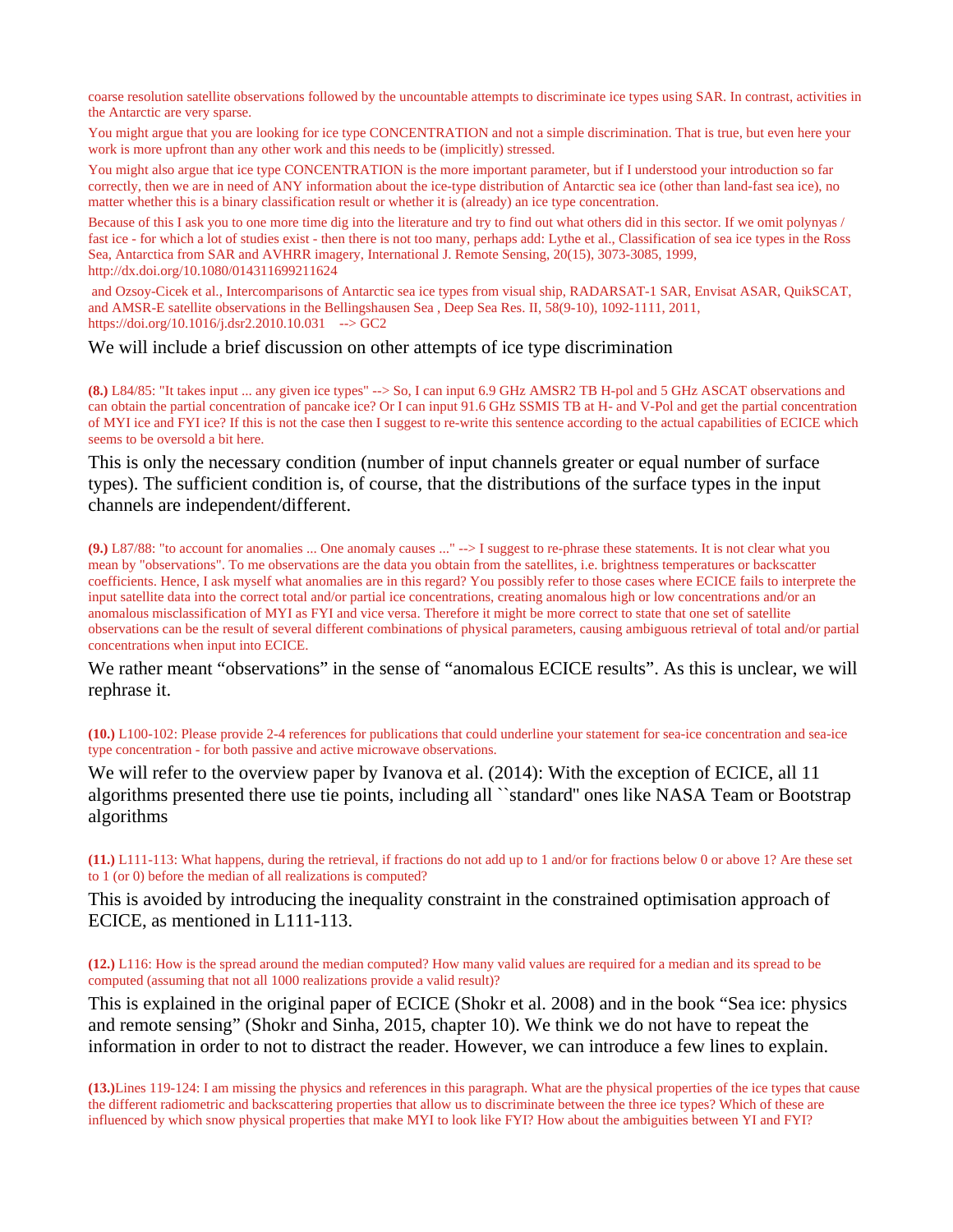coarse resolution satellite observations followed by the uncountable attempts to discriminate ice types using SAR. In contrast, activities in the Antarctic are very sparse.

You might argue that you are looking for ice type CONCENTRATION and not a simple discrimination. That is true, but even here your work is more upfront than any other work and this needs to be (implicitly) stressed.

You might also argue that ice type CONCENTRATION is the more important parameter, but if I understood your introduction so far correctly, then we are in need of ANY information about the ice-type distribution of Antarctic sea ice (other than land-fast sea ice), no matter whether this is a binary classification result or whether it is (already) an ice type concentration.

Because of this I ask you to one more time dig into the literature and try to find out what others did in this sector. If we omit polynyas / fast ice - for which a lot of studies exist - then there is not too many, perhaps add: Lythe et al., Classification of sea ice types in the Ross Sea, Antarctica from SAR and AVHRR imagery, International J. Remote Sensing, 20(15), 3073-3085, 1999, http://dx.doi.org/10.1080/014311699211624

and Ozsoy-Cicek et al., Intercomparisons of Antarctic sea ice types from visual ship, RADARSAT-1 SAR, Envisat ASAR, QuikSCAT, and AMSR-E satellite observations in the Bellingshausen Sea , Deep Sea Res. II, 58(9-10), 1092-1111, 2011, https://doi.org/10.1016/j.dsr2.2010.10.031 --> GC2

#### We will include a brief discussion on other attempts of ice type discrimination

**(8.)** L84/85: "It takes input ... any given ice types" --> So, I can input 6.9 GHz AMSR2 TB H-pol and 5 GHz ASCAT observations and can obtain the partial concentration of pancake ice? Or I can input 91.6 GHz SSMIS TB at H- and V-Pol and get the partial concentration of MYI ice and FYI ice? If this is not the case then I suggest to re-write this sentence according to the actual capabilities of ECICE which seems to be oversold a bit here.

This is only the necessary condition (number of input channels greater or equal number of surface types). The sufficient condition is, of course, that the distributions of the surface types in the input channels are independent/different.

**(9.)** L87/88: "to account for anomalies ... One anomaly causes ..." --> I suggest to re-phrase these statements. It is not clear what you mean by "observations". To me observations are the data you obtain from the satellites, i.e. brightness temperatures or backscatter coefficients. Hence, I ask myself what anomalies are in this regard? You possibly refer to those cases where ECICE fails to interprete the input satellite data into the correct total and/or partial ice concentrations, creating anomalous high or low concentrations and/or an anomalous misclassification of MYI as FYI and vice versa. Therefore it might be more correct to state that one set of satellite observations can be the result of several different combinations of physical parameters, causing ambiguous retrieval of total and/or partial concentrations when input into ECICE.

We rather meant "observations" in the sense of "anomalous ECICE results". As this is unclear, we will rephrase it.

**(10.)** L100-102: Please provide 2-4 references for publications that could underline your statement for sea-ice concentration and sea-ice type concentration - for both passive and active microwave observations.

We will refer to the overview paper by Ivanova et al. (2014): With the exception of ECICE, all 11 algorithms presented there use tie points, including all ``standard'' ones like NASA Team or Bootstrap algorithms

**(11.)** L111-113: What happens, during the retrieval, if fractions do not add up to 1 and/or for fractions below 0 or above 1? Are these set to 1 (or 0) before the median of all realizations is computed?

This is avoided by introducing the inequality constraint in the constrained optimisation approach of ECICE, as mentioned in L111-113.

**(12.)** L116: How is the spread around the median computed? How many valid values are required for a median and its spread to be computed (assuming that not all 1000 realizations provide a valid result)?

This is explained in the original paper of ECICE (Shokr et al. 2008) and in the book "Sea ice: physics and remote sensing" (Shokr and Sinha, 2015, chapter 10). We think we do not have to repeat the information in order to not to distract the reader. However, we can introduce a few lines to explain.

**(13.)**Lines 119-124: I am missing the physics and references in this paragraph. What are the physical properties of the ice types that cause the different radiometric and backscattering properties that allow us to discriminate between the three ice types? Which of these are influenced by which snow physical properties that make MYI to look like FYI? How about the ambiguities between YI and FYI?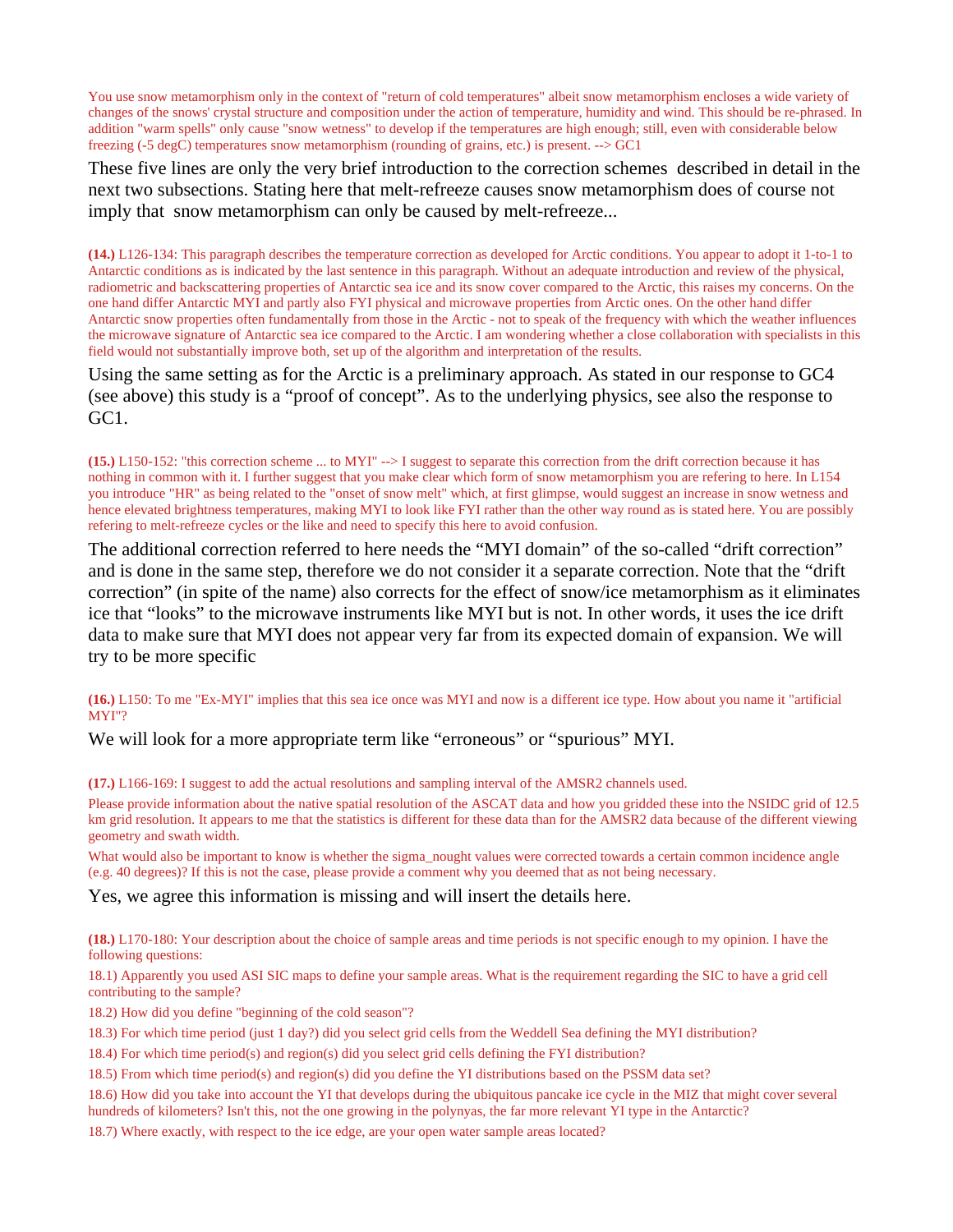You use snow metamorphism only in the context of "return of cold temperatures" albeit snow metamorphism encloses a wide variety of changes of the snows' crystal structure and composition under the action of temperature, humidity and wind. This should be re-phrased. In addition "warm spells" only cause "snow wetness" to develop if the temperatures are high enough; still, even with considerable below freezing (-5 degC) temperatures snow metamorphism (rounding of grains, etc.) is present. --> GC1

These five lines are only the very brief introduction to the correction schemes described in detail in the next two subsections. Stating here that melt-refreeze causes snow metamorphism does of course not imply that snow metamorphism can only be caused by melt-refreeze...

**(14.)** L126-134: This paragraph describes the temperature correction as developed for Arctic conditions. You appear to adopt it 1-to-1 to Antarctic conditions as is indicated by the last sentence in this paragraph. Without an adequate introduction and review of the physical, radiometric and backscattering properties of Antarctic sea ice and its snow cover compared to the Arctic, this raises my concerns. On the one hand differ Antarctic MYI and partly also FYI physical and microwave properties from Arctic ones. On the other hand differ Antarctic snow properties often fundamentally from those in the Arctic - not to speak of the frequency with which the weather influences the microwave signature of Antarctic sea ice compared to the Arctic. I am wondering whether a close collaboration with specialists in this field would not substantially improve both, set up of the algorithm and interpretation of the results.

Using the same setting as for the Arctic is a preliminary approach. As stated in our response to GC4 (see above) this study is a "proof of concept". As to the underlying physics, see also the response to GC1.

**(15.)** L150-152: "this correction scheme ... to MYI" --> I suggest to separate this correction from the drift correction because it has nothing in common with it. I further suggest that you make clear which form of snow metamorphism you are refering to here. In L154 you introduce "HR" as being related to the "onset of snow melt" which, at first glimpse, would suggest an increase in snow wetness and hence elevated brightness temperatures, making MYI to look like FYI rather than the other way round as is stated here. You are possibly refering to melt-refreeze cycles or the like and need to specify this here to avoid confusion.

The additional correction referred to here needs the "MYI domain" of the so-called "drift correction" and is done in the same step, therefore we do not consider it a separate correction. Note that the "drift correction" (in spite of the name) also corrects for the effect of snow/ice metamorphism as it eliminates ice that "looks" to the microwave instruments like MYI but is not. In other words, it uses the ice drift data to make sure that MYI does not appear very far from its expected domain of expansion. We will try to be more specific

**(16.)** L150: To me "Ex-MYI" implies that this sea ice once was MYI and now is a different ice type. How about you name it "artificial MYI"?

We will look for a more appropriate term like "erroneous" or "spurious" MYI.

**(17.)** L166-169: I suggest to add the actual resolutions and sampling interval of the AMSR2 channels used.

Please provide information about the native spatial resolution of the ASCAT data and how you gridded these into the NSIDC grid of 12.5 km grid resolution. It appears to me that the statistics is different for these data than for the AMSR2 data because of the different viewing geometry and swath width.

What would also be important to know is whether the sigma\_nought values were corrected towards a certain common incidence angle (e.g. 40 degrees)? If this is not the case, please provide a comment why you deemed that as not being necessary.

Yes, we agree this information is missing and will insert the details here.

**(18.)** L170-180: Your description about the choice of sample areas and time periods is not specific enough to my opinion. I have the following questions:

18.1) Apparently you used ASI SIC maps to define your sample areas. What is the requirement regarding the SIC to have a grid cell contributing to the sample?

18.2) How did you define "beginning of the cold season"?

18.3) For which time period (just 1 day?) did you select grid cells from the Weddell Sea defining the MYI distribution?

18.4) For which time period(s) and region(s) did you select grid cells defining the FYI distribution?

18.5) From which time period(s) and region(s) did you define the YI distributions based on the PSSM data set?

18.6) How did you take into account the YI that develops during the ubiquitous pancake ice cycle in the MIZ that might cover several hundreds of kilometers? Isn't this, not the one growing in the polynyas, the far more relevant YI type in the Antarctic?

18.7) Where exactly, with respect to the ice edge, are your open water sample areas located?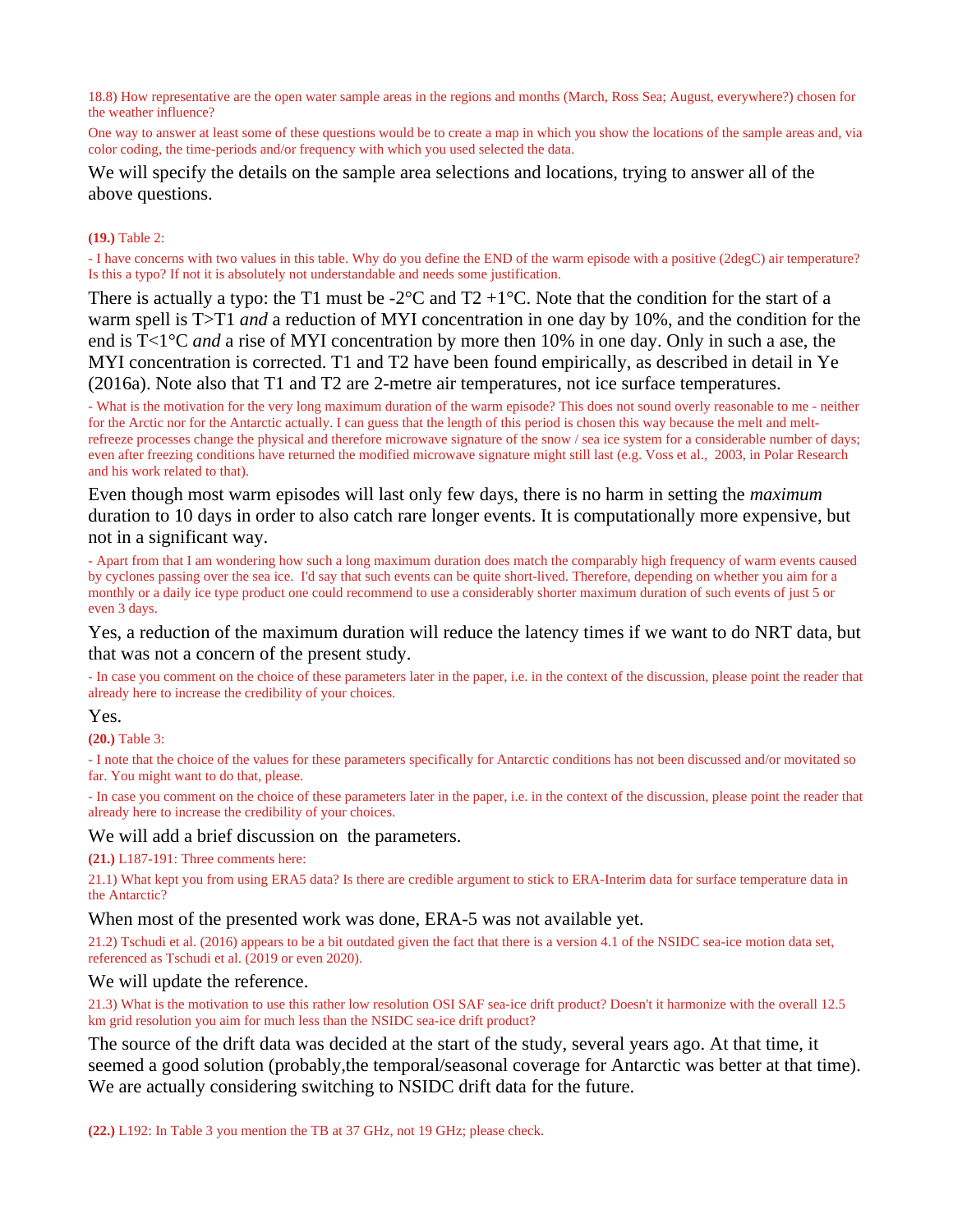18.8) How representative are the open water sample areas in the regions and months (March, Ross Sea; August, everywhere?) chosen for the weather influence?

One way to answer at least some of these questions would be to create a map in which you show the locations of the sample areas and, via color coding, the time-periods and/or frequency with which you used selected the data.

We will specify the details on the sample area selections and locations, trying to answer all of the above questions.

#### **(19.)** Table 2:

- I have concerns with two values in this table. Why do you define the END of the warm episode with a positive (2degC) air temperature? Is this a typo? If not it is absolutely not understandable and needs some justification.

There is actually a typo: the T1 must be -2 $\degree$ C and T2 +1 $\degree$ C. Note that the condition for the start of a warm spell is T>T1 *and* a reduction of MYI concentration in one day by 10%, and the condition for the end is T<1°C *and* a rise of MYI concentration by more then 10% in one day. Only in such a ase, the MYI concentration is corrected. T1 and T2 have been found empirically, as described in detail in Ye (2016a). Note also that T1 and T2 are 2-metre air temperatures, not ice surface temperatures.

- What is the motivation for the very long maximum duration of the warm episode? This does not sound overly reasonable to me - neither for the Arctic nor for the Antarctic actually. I can guess that the length of this period is chosen this way because the melt and meltrefreeze processes change the physical and therefore microwave signature of the snow / sea ice system for a considerable number of days; even after freezing conditions have returned the modified microwave signature might still last (e.g. Voss et al., 2003, in Polar Research and his work related to that).

Even though most warm episodes will last only few days, there is no harm in setting the *maximum* duration to 10 days in order to also catch rare longer events. It is computationally more expensive, but not in a significant way.

- Apart from that I am wondering how such a long maximum duration does match the comparably high frequency of warm events caused by cyclones passing over the sea ice. I'd say that such events can be quite short-lived. Therefore, depending on whether you aim for a monthly or a daily ice type product one could recommend to use a considerably shorter maximum duration of such events of just 5 or even 3 days.

Yes, a reduction of the maximum duration will reduce the latency times if we want to do NRT data, but that was not a concern of the present study.

- In case you comment on the choice of these parameters later in the paper, i.e. in the context of the discussion, please point the reader that already here to increase the credibility of your choices.

#### Yes.

**(20.)** Table 3:

- I note that the choice of the values for these parameters specifically for Antarctic conditions has not been discussed and/or movitated so far. You might want to do that, please.

- In case you comment on the choice of these parameters later in the paper, i.e. in the context of the discussion, please point the reader that already here to increase the credibility of your choices.

#### We will add a brief discussion on the parameters.

**(21.)** L187-191: Three comments here:

21.1) What kept you from using ERA5 data? Is there are credible argument to stick to ERA-Interim data for surface temperature data in the Antarctic?

#### When most of the presented work was done, ERA-5 was not available yet.

21.2) Tschudi et al. (2016) appears to be a bit outdated given the fact that there is a version 4.1 of the NSIDC sea-ice motion data set, referenced as Tschudi et al. (2019 or even 2020).

#### We will update the reference.

21.3) What is the motivation to use this rather low resolution OSI SAF sea-ice drift product? Doesn't it harmonize with the overall 12.5 km grid resolution you aim for much less than the NSIDC sea-ice drift product?

The source of the drift data was decided at the start of the study, several years ago. At that time, it seemed a good solution (probably,the temporal/seasonal coverage for Antarctic was better at that time). We are actually considering switching to NSIDC drift data for the future.

**(22.)** L192: In Table 3 you mention the TB at 37 GHz, not 19 GHz; please check.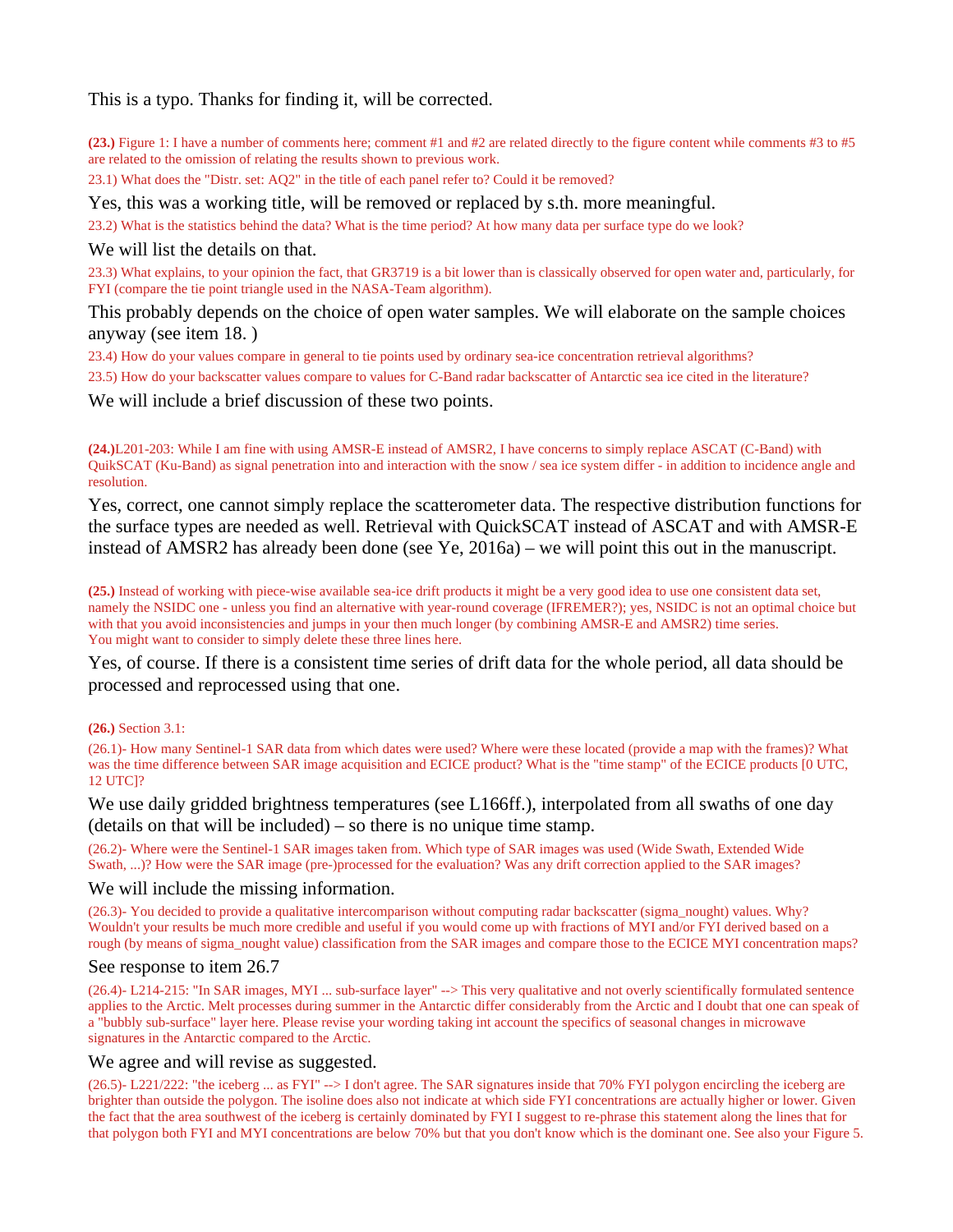This is a typo. Thanks for finding it, will be corrected.

**(23.)** Figure 1: I have a number of comments here; comment #1 and #2 are related directly to the figure content while comments #3 to #5 are related to the omission of relating the results shown to previous work.

23.1) What does the "Distr. set: AQ2" in the title of each panel refer to? Could it be removed?

Yes, this was a working title, will be removed or replaced by s.th. more meaningful.

23.2) What is the statistics behind the data? What is the time period? At how many data per surface type do we look?

We will list the details on that.

23.3) What explains, to your opinion the fact, that GR3719 is a bit lower than is classically observed for open water and, particularly, for FYI (compare the tie point triangle used in the NASA-Team algorithm).

This probably depends on the choice of open water samples. We will elaborate on the sample choices anyway (see item 18. )

23.4) How do your values compare in general to tie points used by ordinary sea-ice concentration retrieval algorithms?

23.5) How do your backscatter values compare to values for C-Band radar backscatter of Antarctic sea ice cited in the literature?

We will include a brief discussion of these two points.

**(24.)**L201-203: While I am fine with using AMSR-E instead of AMSR2, I have concerns to simply replace ASCAT (C-Band) with QuikSCAT (Ku-Band) as signal penetration into and interaction with the snow / sea ice system differ - in addition to incidence angle and resolution.

Yes, correct, one cannot simply replace the scatterometer data. The respective distribution functions for the surface types are needed as well. Retrieval with QuickSCAT instead of ASCAT and with AMSR-E instead of AMSR2 has already been done (see Ye, 2016a) – we will point this out in the manuscript.

**(25.)** Instead of working with piece-wise available sea-ice drift products it might be a very good idea to use one consistent data set, namely the NSIDC one - unless you find an alternative with year-round coverage (IFREMER?); yes, NSIDC is not an optimal choice but with that you avoid inconsistencies and jumps in your then much longer (by combining AMSR-E and AMSR2) time series. You might want to consider to simply delete these three lines here.

Yes, of course. If there is a consistent time series of drift data for the whole period, all data should be processed and reprocessed using that one.

**(26.)** Section 3.1:

(26.1)- How many Sentinel-1 SAR data from which dates were used? Where were these located (provide a map with the frames)? What was the time difference between SAR image acquisition and ECICE product? What is the "time stamp" of the ECICE products [0 UTC, 12 UTC]?

We use daily gridded brightness temperatures (see L166ff.), interpolated from all swaths of one day (details on that will be included) – so there is no unique time stamp.

(26.2)- Where were the Sentinel-1 SAR images taken from. Which type of SAR images was used (Wide Swath, Extended Wide Swath, ...)? How were the SAR image (pre-)processed for the evaluation? Was any drift correction applied to the SAR images?

#### We will include the missing information.

(26.3)- You decided to provide a qualitative intercomparison without computing radar backscatter (sigma\_nought) values. Why? Wouldn't your results be much more credible and useful if you would come up with fractions of MYI and/or FYI derived based on a rough (by means of sigma\_nought value) classification from the SAR images and compare those to the ECICE MYI concentration maps?

### See response to item 26.7

(26.4)- L214-215: "In SAR images, MYI ... sub-surface layer" --> This very qualitative and not overly scientifically formulated sentence applies to the Arctic. Melt processes during summer in the Antarctic differ considerably from the Arctic and I doubt that one can speak of a "bubbly sub-surface" layer here. Please revise your wording taking int account the specifics of seasonal changes in microwave signatures in the Antarctic compared to the Arctic.

### We agree and will revise as suggested.

(26.5)- L221/222: "the iceberg ... as FYI" --> I don't agree. The SAR signatures inside that 70% FYI polygon encircling the iceberg are brighter than outside the polygon. The isoline does also not indicate at which side FYI concentrations are actually higher or lower. Given the fact that the area southwest of the iceberg is certainly dominated by FYI I suggest to re-phrase this statement along the lines that for that polygon both FYI and MYI concentrations are below 70% but that you don't know which is the dominant one. See also your Figure 5.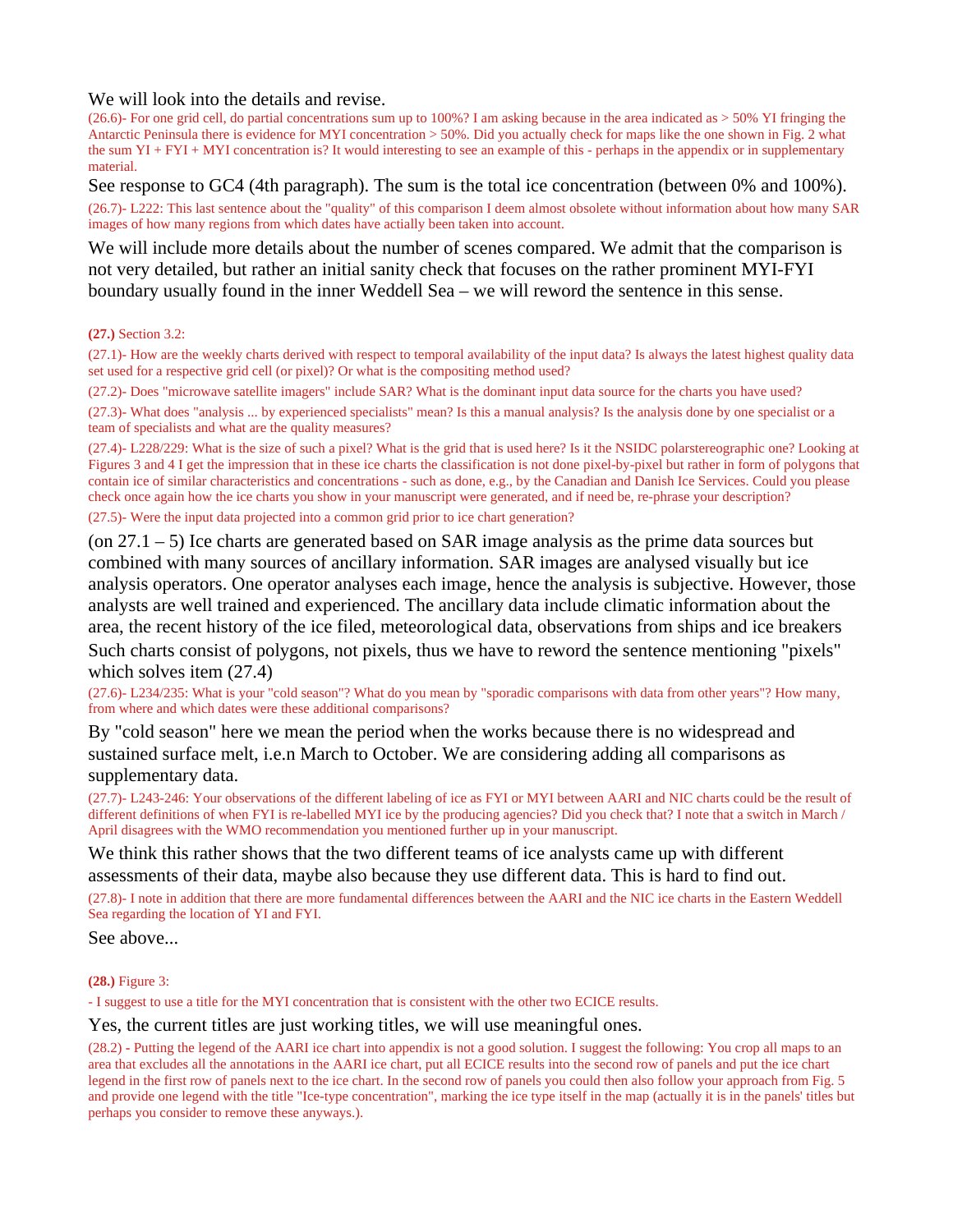We will look into the details and revise.

(26.6)- For one grid cell, do partial concentrations sum up to 100%? I am asking because in the area indicated as > 50% YI fringing the Antarctic Peninsula there is evidence for MYI concentration > 50%. Did you actually check for maps like the one shown in Fig. 2 what the sum YI + FYI + MYI concentration is? It would interesting to see an example of this - perhaps in the appendix or in supplementary material.

See response to GC4 (4th paragraph). The sum is the total ice concentration (between 0% and 100%).

(26.7)- L222: This last sentence about the "quality" of this comparison I deem almost obsolete without information about how many SAR images of how many regions from which dates have actially been taken into account.

We will include more details about the number of scenes compared. We admit that the comparison is not very detailed, but rather an initial sanity check that focuses on the rather prominent MYI-FYI boundary usually found in the inner Weddell Sea – we will reword the sentence in this sense.

#### **(27.)** Section 3.2:

(27.1)- How are the weekly charts derived with respect to temporal availability of the input data? Is always the latest highest quality data set used for a respective grid cell (or pixel)? Or what is the compositing method used?

(27.2)- Does "microwave satellite imagers" include SAR? What is the dominant input data source for the charts you have used? (27.3)- What does "analysis ... by experienced specialists" mean? Is this a manual analysis? Is the analysis done by one specialist or a team of specialists and what are the quality measures?

(27.4)- L228/229: What is the size of such a pixel? What is the grid that is used here? Is it the NSIDC polarstereographic one? Looking at Figures 3 and 4 I get the impression that in these ice charts the classification is not done pixel-by-pixel but rather in form of polygons that contain ice of similar characteristics and concentrations - such as done, e.g., by the Canadian and Danish Ice Services. Could you please check once again how the ice charts you show in your manuscript were generated, and if need be, re-phrase your description?

(27.5)- Were the input data projected into a common grid prior to ice chart generation?

(on  $27.1 - 5$ ) Ice charts are generated based on SAR image analysis as the prime data sources but combined with many sources of ancillary information. SAR images are analysed visually but ice analysis operators. One operator analyses each image, hence the analysis is subjective. However, those analysts are well trained and experienced. The ancillary data include climatic information about the area, the recent history of the ice filed, meteorological data, observations from ships and ice breakers Such charts consist of polygons, not pixels, thus we have to reword the sentence mentioning "pixels" which solves item (27.4)

(27.6)- L234/235: What is your "cold season"? What do you mean by "sporadic comparisons with data from other years"? How many, from where and which dates were these additional comparisons?

By "cold season" here we mean the period when the works because there is no widespread and sustained surface melt, i.e.n March to October. We are considering adding all comparisons as supplementary data.

(27.7)- L243-246: Your observations of the different labeling of ice as FYI or MYI between AARI and NIC charts could be the result of different definitions of when FYI is re-labelled MYI ice by the producing agencies? Did you check that? I note that a switch in March / April disagrees with the WMO recommendation you mentioned further up in your manuscript.

We think this rather shows that the two different teams of ice analysts came up with different assessments of their data, maybe also because they use different data. This is hard to find out.

(27.8)- I note in addition that there are more fundamental differences between the AARI and the NIC ice charts in the Eastern Weddell Sea regarding the location of YI and FYI.

See above...

#### **(28.)** Figure 3:

- I suggest to use a title for the MYI concentration that is consistent with the other two ECICE results.

#### Yes, the current titles are just working titles, we will use meaningful ones.

(28.2) **-** Putting the legend of the AARI ice chart into appendix is not a good solution. I suggest the following: You crop all maps to an area that excludes all the annotations in the AARI ice chart, put all ECICE results into the second row of panels and put the ice chart legend in the first row of panels next to the ice chart. In the second row of panels you could then also follow your approach from Fig. 5 and provide one legend with the title "Ice-type concentration", marking the ice type itself in the map (actually it is in the panels' titles but perhaps you consider to remove these anyways.).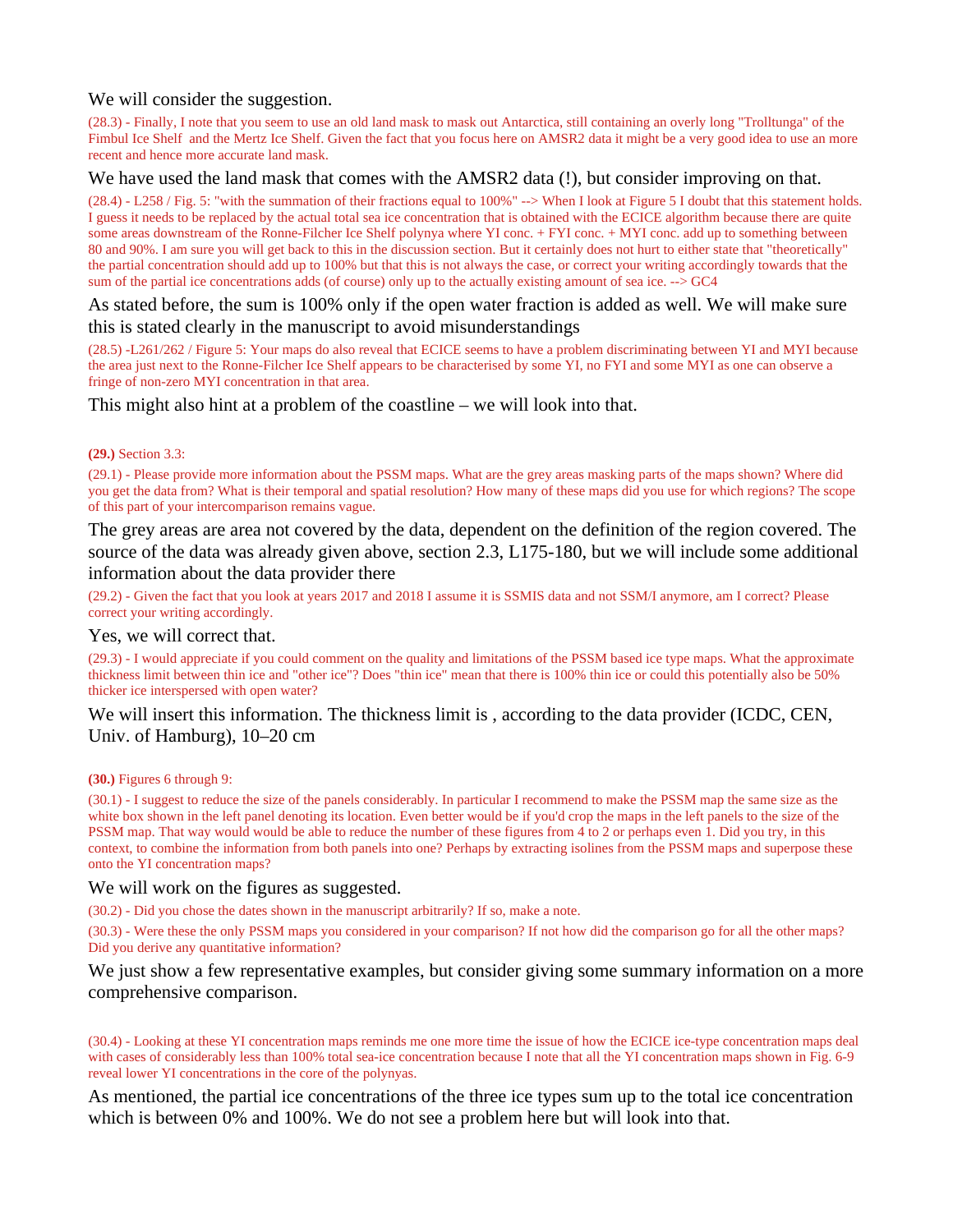### We will consider the suggestion.

(28.3) - Finally, I note that you seem to use an old land mask to mask out Antarctica, still containing an overly long "Trolltunga" of the Fimbul Ice Shelf and the Mertz Ice Shelf. Given the fact that you focus here on AMSR2 data it might be a very good idea to use an more recent and hence more accurate land mask.

#### We have used the land mask that comes with the AMSR2 data (!), but consider improving on that.

(28.4) - L258 / Fig. 5: "with the summation of their fractions equal to 100%" --> When I look at Figure 5 I doubt that this statement holds. I guess it needs to be replaced by the actual total sea ice concentration that is obtained with the ECICE algorithm because there are quite some areas downstream of the Ronne-Filcher Ice Shelf polynya where YI conc. + FYI conc. + MYI conc. add up to something between 80 and 90%. I am sure you will get back to this in the discussion section. But it certainly does not hurt to either state that "theoretically" the partial concentration should add up to 100% but that this is not always the case, or correct your writing accordingly towards that the sum of the partial ice concentrations adds (of course) only up to the actually existing amount of sea ice. --> GC4

### As stated before, the sum is 100% only if the open water fraction is added as well. We will make sure this is stated clearly in the manuscript to avoid misunderstandings

(28.5) -L261/262 / Figure 5: Your maps do also reveal that ECICE seems to have a problem discriminating between YI and MYI because the area just next to the Ronne-Filcher Ice Shelf appears to be characterised by some YI, no FYI and some MYI as one can observe a fringe of non-zero MYI concentration in that area.

### This might also hint at a problem of the coastline – we will look into that.

#### **(29.)** Section 3.3:

(29.1) - Please provide more information about the PSSM maps. What are the grey areas masking parts of the maps shown? Where did you get the data from? What is their temporal and spatial resolution? How many of these maps did you use for which regions? The scope of this part of your intercomparison remains vague.

The grey areas are area not covered by the data, dependent on the definition of the region covered. The source of the data was already given above, section 2.3, L175-180, but we will include some additional information about the data provider there

(29.2) - Given the fact that you look at years 2017 and 2018 I assume it is SSMIS data and not SSM/I anymore, am I correct? Please correct your writing accordingly.

#### Yes, we will correct that.

(29.3) - I would appreciate if you could comment on the quality and limitations of the PSSM based ice type maps. What the approximate thickness limit between thin ice and "other ice"? Does "thin ice" mean that there is 100% thin ice or could this potentially also be 50% thicker ice interspersed with open water?

### We will insert this information. The thickness limit is, according to the data provider (ICDC, CEN, Univ. of Hamburg), 10–20 cm

#### **(30.)** Figures 6 through 9:

(30.1) - I suggest to reduce the size of the panels considerably. In particular I recommend to make the PSSM map the same size as the white box shown in the left panel denoting its location. Even better would be if you'd crop the maps in the left panels to the size of the PSSM map. That way would would be able to reduce the number of these figures from 4 to 2 or perhaps even 1. Did you try, in this context, to combine the information from both panels into one? Perhaps by extracting isolines from the PSSM maps and superpose these onto the YI concentration maps?

#### We will work on the figures as suggested.

(30.2) - Did you chose the dates shown in the manuscript arbitrarily? If so, make a note.

(30.3) - Were these the only PSSM maps you considered in your comparison? If not how did the comparison go for all the other maps? Did you derive any quantitative information?

### We just show a few representative examples, but consider giving some summary information on a more comprehensive comparison.

(30.4) - Looking at these YI concentration maps reminds me one more time the issue of how the ECICE ice-type concentration maps deal with cases of considerably less than 100% total sea-ice concentration because I note that all the YI concentration maps shown in Fig. 6-9 reveal lower YI concentrations in the core of the polynyas.

As mentioned, the partial ice concentrations of the three ice types sum up to the total ice concentration which is between 0% and 100%. We do not see a problem here but will look into that.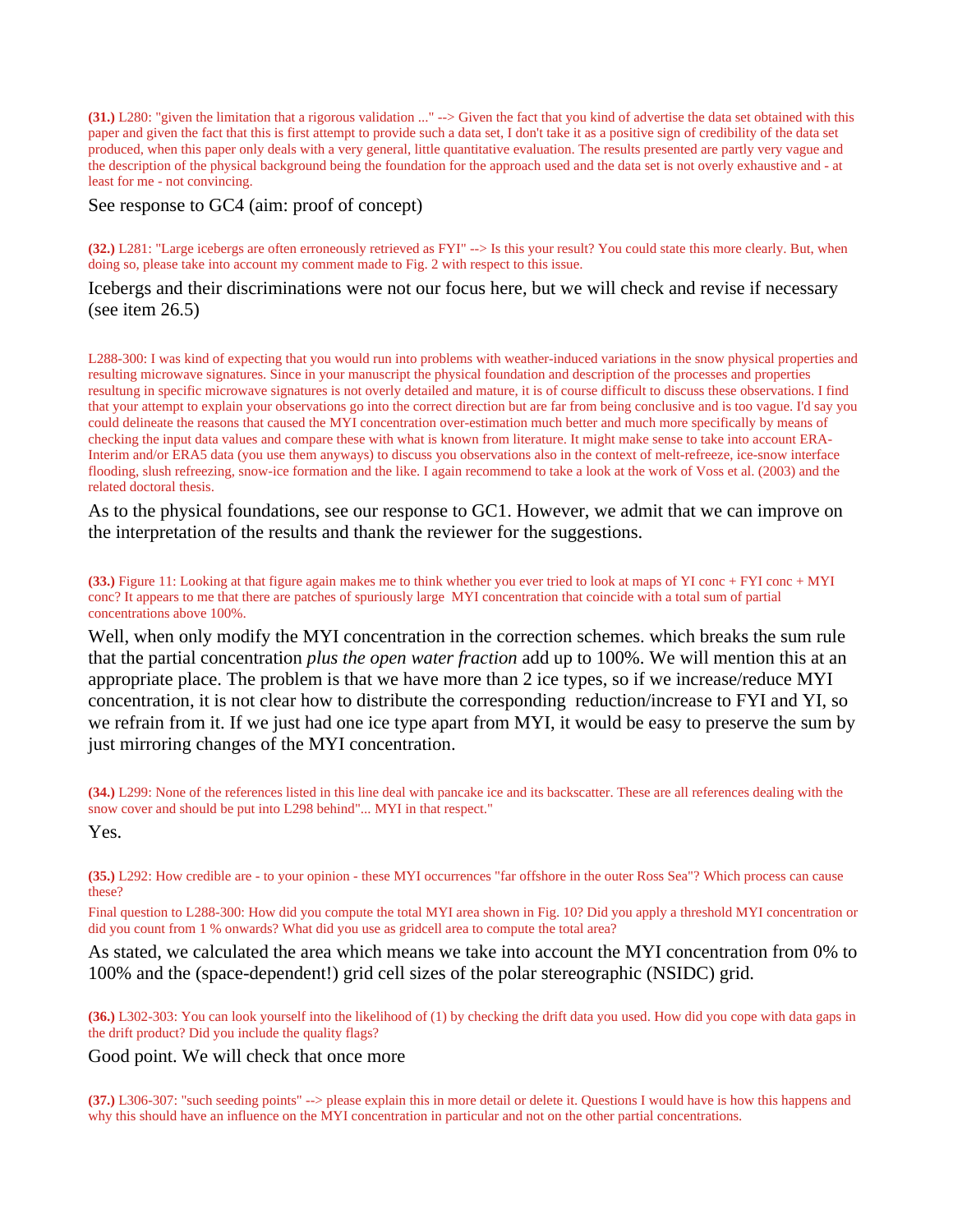**(31.)** L280: "given the limitation that a rigorous validation ..." --> Given the fact that you kind of advertise the data set obtained with this paper and given the fact that this is first attempt to provide such a data set, I don't take it as a positive sign of credibility of the data set produced, when this paper only deals with a very general, little quantitative evaluation. The results presented are partly very vague and the description of the physical background being the foundation for the approach used and the data set is not overly exhaustive and - at least for me - not convincing.

See response to GC4 (aim: proof of concept)

**(32.)** L281: "Large icebergs are often erroneously retrieved as FYI" --> Is this your result? You could state this more clearly. But, when doing so, please take into account my comment made to Fig. 2 with respect to this issue.

Icebergs and their discriminations were not our focus here, but we will check and revise if necessary (see item 26.5)

L288-300: I was kind of expecting that you would run into problems with weather-induced variations in the snow physical properties and resulting microwave signatures. Since in your manuscript the physical foundation and description of the processes and properties resultung in specific microwave signatures is not overly detailed and mature, it is of course difficult to discuss these observations. I find that your attempt to explain your observations go into the correct direction but are far from being conclusive and is too vague. I'd say you could delineate the reasons that caused the MYI concentration over-estimation much better and much more specifically by means of checking the input data values and compare these with what is known from literature. It might make sense to take into account ERA-Interim and/or ERA5 data (you use them anyways) to discuss you observations also in the context of melt-refreeze, ice-snow interface flooding, slush refreezing, snow-ice formation and the like. I again recommend to take a look at the work of Voss et al. (2003) and the related doctoral thesis.

As to the physical foundations, see our response to GC1. However, we admit that we can improve on the interpretation of the results and thank the reviewer for the suggestions.

**(33.)** Figure 11: Looking at that figure again makes me to think whether you ever tried to look at maps of YI conc + FYI conc + MYI conc? It appears to me that there are patches of spuriously large MYI concentration that coincide with a total sum of partial concentrations above 100%.

Well, when only modify the MYI concentration in the correction schemes. which breaks the sum rule that the partial concentration *plus the open water fraction* add up to 100%. We will mention this at an appropriate place. The problem is that we have more than 2 ice types, so if we increase/reduce MYI concentration, it is not clear how to distribute the corresponding reduction/increase to FYI and YI, so we refrain from it. If we just had one ice type apart from MYI, it would be easy to preserve the sum by just mirroring changes of the MYI concentration.

**(34.)** L299: None of the references listed in this line deal with pancake ice and its backscatter. These are all references dealing with the snow cover and should be put into L298 behind"... MYI in that respect."

Yes.

**(35.)** L292: How credible are - to your opinion - these MYI occurrences "far offshore in the outer Ross Sea"? Which process can cause these?

Final question to L288-300: How did you compute the total MYI area shown in Fig. 10? Did you apply a threshold MYI concentration or did you count from 1 % onwards? What did you use as gridcell area to compute the total area?

As stated, we calculated the area which means we take into account the MYI concentration from 0% to 100% and the (space-dependent!) grid cell sizes of the polar stereographic (NSIDC) grid.

**(36.)** L302-303: You can look yourself into the likelihood of (1) by checking the drift data you used. How did you cope with data gaps in the drift product? Did you include the quality flags?

Good point. We will check that once more

**(37.)** L306-307: "such seeding points" --> please explain this in more detail or delete it. Questions I would have is how this happens and why this should have an influence on the MYI concentration in particular and not on the other partial concentrations.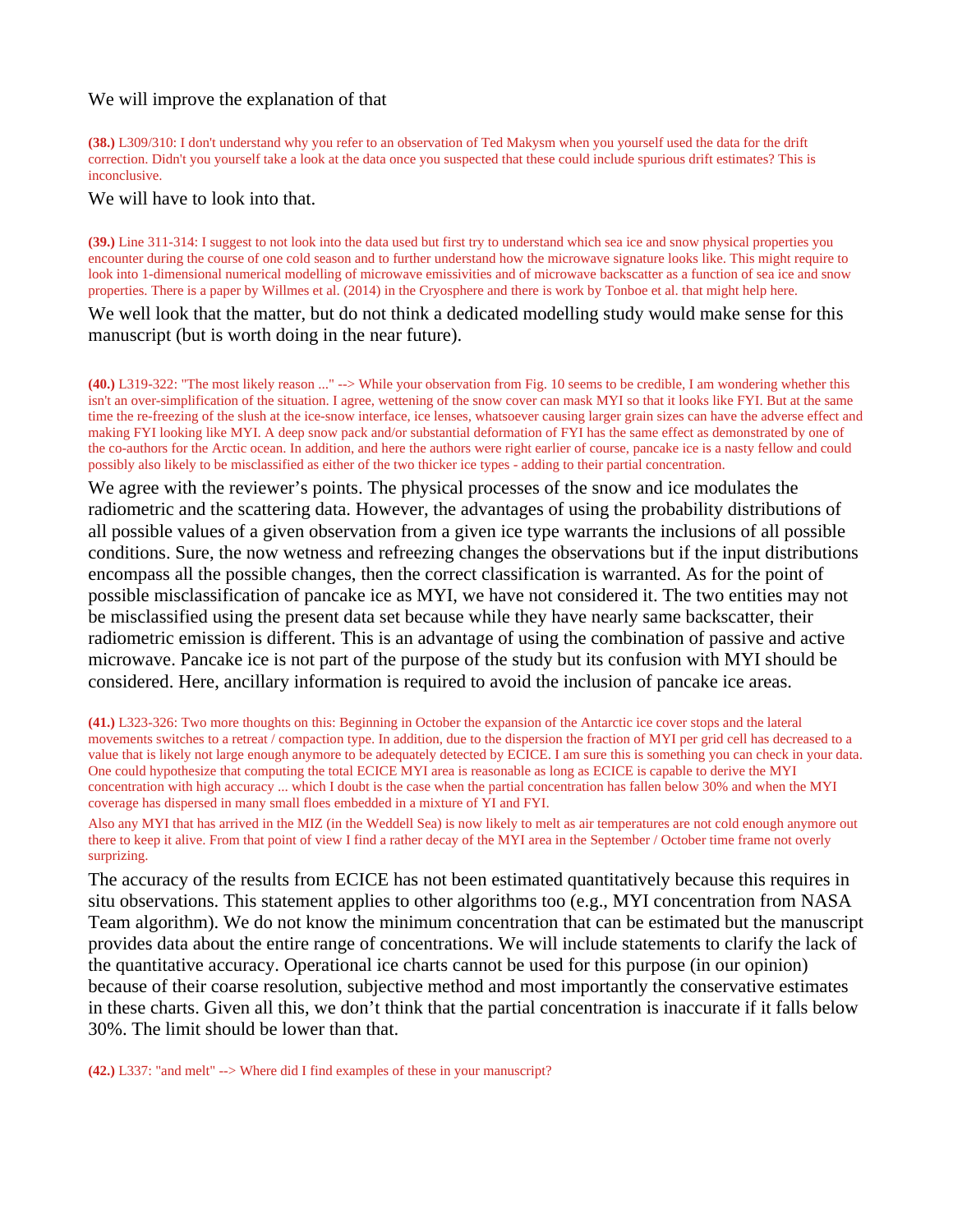### We will improve the explanation of that

**(38.)** L309/310: I don't understand why you refer to an observation of Ted Makysm when you yourself used the data for the drift correction. Didn't you yourself take a look at the data once you suspected that these could include spurious drift estimates? This is inconclusive.

We will have to look into that.

**(39.)** Line 311-314: I suggest to not look into the data used but first try to understand which sea ice and snow physical properties you encounter during the course of one cold season and to further understand how the microwave signature looks like. This might require to look into 1-dimensional numerical modelling of microwave emissivities and of microwave backscatter as a function of sea ice and snow properties. There is a paper by Willmes et al. (2014) in the Cryosphere and there is work by Tonboe et al. that might help here.

We well look that the matter, but do not think a dedicated modelling study would make sense for this manuscript (but is worth doing in the near future).

**(40.)** L319-322: "The most likely reason ..." --> While your observation from Fig. 10 seems to be credible, I am wondering whether this isn't an over-simplification of the situation. I agree, wettening of the snow cover can mask MYI so that it looks like FYI. But at the same time the re-freezing of the slush at the ice-snow interface, ice lenses, whatsoever causing larger grain sizes can have the adverse effect and making FYI looking like MYI. A deep snow pack and/or substantial deformation of FYI has the same effect as demonstrated by one of the co-authors for the Arctic ocean. In addition, and here the authors were right earlier of course, pancake ice is a nasty fellow and could possibly also likely to be misclassified as either of the two thicker ice types - adding to their partial concentration.

We agree with the reviewer's points. The physical processes of the snow and ice modulates the radiometric and the scattering data. However, the advantages of using the probability distributions of all possible values of a given observation from a given ice type warrants the inclusions of all possible conditions. Sure, the now wetness and refreezing changes the observations but if the input distributions encompass all the possible changes, then the correct classification is warranted. As for the point of possible misclassification of pancake ice as MYI, we have not considered it. The two entities may not be misclassified using the present data set because while they have nearly same backscatter, their radiometric emission is different. This is an advantage of using the combination of passive and active microwave. Pancake ice is not part of the purpose of the study but its confusion with MYI should be considered. Here, ancillary information is required to avoid the inclusion of pancake ice areas.

**(41.)** L323-326: Two more thoughts on this: Beginning in October the expansion of the Antarctic ice cover stops and the lateral movements switches to a retreat / compaction type. In addition, due to the dispersion the fraction of MYI per grid cell has decreased to a value that is likely not large enough anymore to be adequately detected by ECICE. I am sure this is something you can check in your data. One could hypothesize that computing the total ECICE MYI area is reasonable as long as ECICE is capable to derive the MYI concentration with high accuracy ... which I doubt is the case when the partial concentration has fallen below 30% and when the MYI coverage has dispersed in many small floes embedded in a mixture of YI and FYI.

Also any MYI that has arrived in the MIZ (in the Weddell Sea) is now likely to melt as air temperatures are not cold enough anymore out there to keep it alive. From that point of view I find a rather decay of the MYI area in the September / October time frame not overly surprizing.

The accuracy of the results from ECICE has not been estimated quantitatively because this requires in situ observations. This statement applies to other algorithms too (e.g., MYI concentration from NASA Team algorithm). We do not know the minimum concentration that can be estimated but the manuscript provides data about the entire range of concentrations. We will include statements to clarify the lack of the quantitative accuracy. Operational ice charts cannot be used for this purpose (in our opinion) because of their coarse resolution, subjective method and most importantly the conservative estimates in these charts. Given all this, we don't think that the partial concentration is inaccurate if it falls below 30%. The limit should be lower than that.

**(42.)** L337: "and melt" --> Where did I find examples of these in your manuscript?